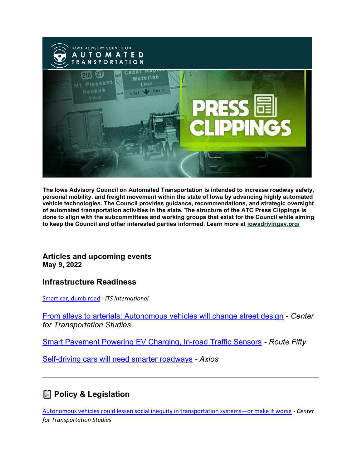

The Iowa Advisory Council on Automated Transportation is intended to increase roadway safety, personal mobility, and freight movement within the state of Iowa by advancing highly automated vehicle technologies. The Council provides guidance, recommendations, and strategic oversight of automated transportation activities in the state. The structure of the ATC Press Clippings is done to align with the subcommittees and working groups that exist for the Council while aiming to keep the Council and other interested parties informed. Learn more at iowadrivingav.org/

### Articles and upcoming events May 9, 2022

### Infrastructure Readiness

Smart car, dumb road - ITS International

From alleys to arterials: Autonomous vehicles will change street design - Center for Transportation Studies

Smart Pavement Powering EV Charging, In-road Traffic Sensors - Route Fifty

Self-driving cars will need smarter roadways - Axios

# **A** Policy & Legislation

Autonomous vehicles could lessen social inequity in transportation systems—or make it worse - Center for Transportation Studies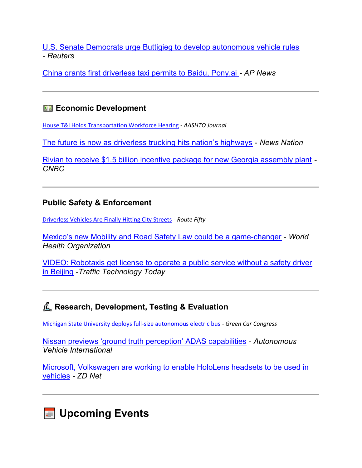U.S. Senate Democrats urge Buttigieg to develop autonomous vehicle rules - Reuters

China grants first driverless taxi permits to Baidu, Pony.ai - AP News

## **<b>■a** Economic Development

House T&I Holds Transportation Workforce Hearing - AASHTO Journal

The future is now as driverless trucking hits nation's highways - News Nation

Rivian to receive \$1.5 billion incentive package for new Georgia assembly plant - **CNBC** 

### Public Safety & Enforcement

Driverless Vehicles Are Finally Hitting City Streets - Route Fifty

Mexico's new Mobility and Road Safety Law could be a game-changer - World Health Organization

VIDEO: Robotaxis get license to operate a public service without a safety driver in Beijing -Traffic Technology Today

# ࣆࣅࣄࣃࣂࣁ Research, Development, Testing & Evaluation

Michigan State University deploys full-size autonomous electric bus - Green Car Congress

Nissan previews 'ground truth perception' ADAS capabilities - Autonomous Vehicle International

Microsoft, Volkswagen are working to enable HoloLens headsets to be used in vehicles - ZD Net

**Jupcoming Events**